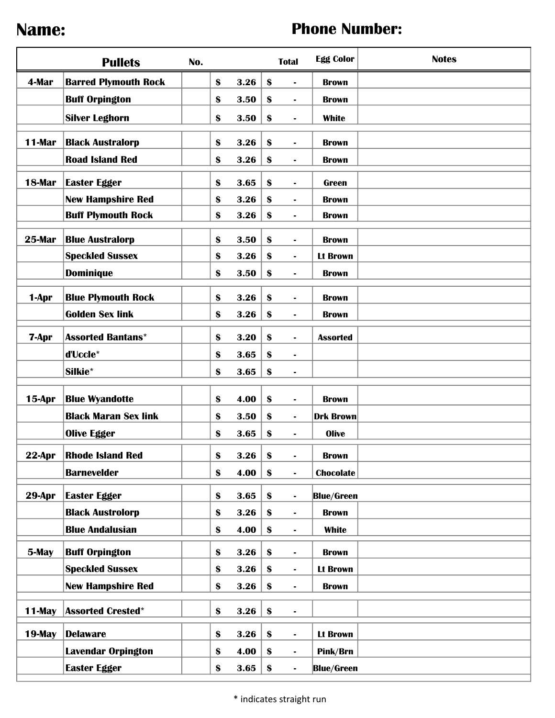## Name: **Name: Name: Phone Number: Phone Number:**

|               | <b>Pullets</b>              | No. |              |                   | <b>Total</b>   | <b>Egg Color</b>  | <b>Notes</b> |
|---------------|-----------------------------|-----|--------------|-------------------|----------------|-------------------|--------------|
| 4-Mar         | <b>Barred Plymouth Rock</b> |     | \$<br>$3.26$ | $\boldsymbol{\$}$ |                | <b>Brown</b>      |              |
|               | <b>Buff Orpington</b>       |     | \$<br>3.50   | $\boldsymbol{\$}$ | $\blacksquare$ | <b>Brown</b>      |              |
|               | <b>Silver Leghorn</b>       |     | \$<br>3.50   | \$                | $\blacksquare$ | <b>White</b>      |              |
| <b>11-Mar</b> | <b>Black Australorp</b>     |     | \$<br>3.26   | \$                | $\blacksquare$ | <b>Brown</b>      |              |
|               | <b>Road Island Red</b>      |     | \$<br>3.26   | \$                | $\blacksquare$ | <b>Brown</b>      |              |
| 18-Mar        | <b>Easter Egger</b>         |     | \$<br>3.65   | \$                | $\blacksquare$ | <b>Green</b>      |              |
|               | <b>New Hampshire Red</b>    |     | \$<br>3.26   | \$                | $\blacksquare$ | <b>Brown</b>      |              |
|               | <b>Buff Plymouth Rock</b>   |     | \$<br>3.26   | \$                | $\blacksquare$ | <b>Brown</b>      |              |
| 25-Mar        | <b>Blue Australorp</b>      |     | \$<br>3.50   | \$                |                | <b>Brown</b>      |              |
|               | <b>Speckled Sussex</b>      |     | \$<br>3.26   | \$                | $\blacksquare$ | <b>Lt Brown</b>   |              |
|               | <b>Dominique</b>            |     | \$<br>3.50   | \$                | $\blacksquare$ | <b>Brown</b>      |              |
| 1-Apr         | <b>Blue Plymouth Rock</b>   |     | \$<br>3.26   | \$                | $\blacksquare$ | <b>Brown</b>      |              |
|               | <b>Golden Sex link</b>      |     | \$<br>3.26   | \$                | $\blacksquare$ | <b>Brown</b>      |              |
|               |                             |     |              |                   |                |                   |              |
| 7-Apr         | <b>Assorted Bantans*</b>    |     | \$<br>3.20   | \$                |                | <b>Assorted</b>   |              |
|               | d'Uccle*                    |     | \$<br>3.65   | \$                | $\blacksquare$ |                   |              |
|               | Silkie*                     |     | \$<br>3.65   | \$                | $\blacksquare$ |                   |              |
| <b>15-Apr</b> | <b>Blue Wyandotte</b>       |     | \$<br>4.00   | \$                | $\blacksquare$ | <b>Brown</b>      |              |
|               | <b>Black Maran Sex link</b> |     | \$<br>3.50   | \$                | $\blacksquare$ | <b>Drk Brown</b>  |              |
|               | <b>Olive Egger</b>          |     | \$<br>3.65   | $\boldsymbol{\$}$ | $\blacksquare$ | <b>Olive</b>      |              |
| <b>22-Apr</b> | <b>Rhode Island Red</b>     |     | \$<br>3.26   | $\boldsymbol{\$}$ |                | <b>Brown</b>      |              |
|               | <b>Barnevelder</b>          |     | \$<br>4.00   | $\boldsymbol{\$}$ | $\blacksquare$ | <b>Chocolate</b>  |              |
| 29-Apr        | <b>Easter Egger</b>         |     | \$<br>3.65   | \$                | $\blacksquare$ | <b>Blue/Green</b> |              |
|               | <b>Black Austrolorp</b>     |     | \$<br>3.26   | \$                | $\blacksquare$ | <b>Brown</b>      |              |
|               | <b>Blue Andalusian</b>      |     | \$<br>4.00   | \$                | $\blacksquare$ | <b>White</b>      |              |
| 5-May         | <b>Buff Orpington</b>       |     | \$<br>$3.26$ | \$                | $\blacksquare$ | <b>Brown</b>      |              |
|               | <b>Speckled Sussex</b>      |     | \$<br>3.26   | \$                | $\blacksquare$ | <b>Lt Brown</b>   |              |
|               | <b>New Hampshire Red</b>    |     | \$<br>3.26   | \$                | $\blacksquare$ | <b>Brown</b>      |              |
| <b>11-May</b> | <b>Assorted Crested*</b>    |     | \$<br>$3.26$ | \$                | $\blacksquare$ |                   |              |
| 19-May        | <b>Delaware</b>             |     | \$<br>$3.26$ | \$                | $\blacksquare$ | <b>Lt Brown</b>   |              |
|               | <b>Lavendar Orpington</b>   |     | \$<br>4.00   | \$                | $\blacksquare$ | Pink/Brn          |              |
|               | <b>Easter Egger</b>         |     | \$<br>3.65   | \$                | $\blacksquare$ | <b>Blue/Green</b> |              |
|               |                             |     |              |                   |                |                   |              |